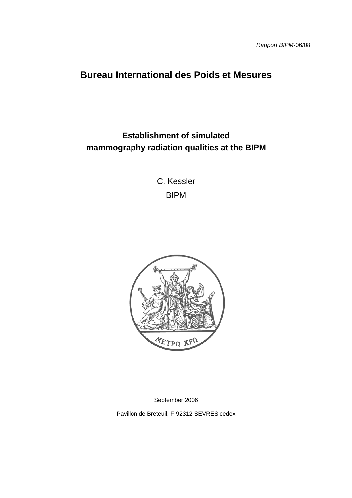# **Bureau International des Poids et Mesures**

# **Establishment of simulated mammography radiation qualities at the BIPM**

C. Kessler BIPM



September 2006

Pavillon de Breteuil, F-92312 SEVRES cedex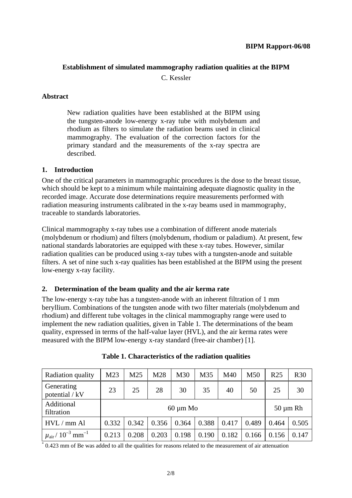# **Establishment of simulated mammography radiation qualities at the BIPM**

C. Kessler

## **Abstract**

New radiation qualities have been established at the BIPM using the tungsten-anode low-energy x-ray tube with molybdenum and rhodium as filters to simulate the radiation beams used in clinical mammography. The evaluation of the correction factors for the primary standard and the measurements of the x-ray spectra are described.

## **1. Introduction**

One of the critical parameters in mammographic procedures is the dose to the breast tissue, which should be kept to a minimum while maintaining adequate diagnostic quality in the recorded image. Accurate dose determinations require measurements performed with radiation measuring instruments calibrated in the x-ray beams used in mammography, traceable to standards laboratories.

Clinical mammography x-ray tubes use a combination of different anode materials (molybdenum or rhodium) and filters (molybdenum, rhodium or paladium). At present, few national standards laboratories are equipped with these x-ray tubes. However, similar radiation qualities can be produced using x-ray tubes with a tungsten-anode and suitable filters. A set of nine such x-ray qualities has been established at the BIPM using the present low-energy x-ray facility.

# **2. Determination of the beam quality and the air kerma rate**

The low-energy x-ray tube has a tungsten-anode with an inherent filtration of 1 mm beryllium. Combinations of the tungsten anode with two filter materials (molybdenum and rhodium) and different tube voltages in the clinical mammography range were used to implement the new radiation qualities, given in Table 1. The determinations of the beam quality, expressed in terms of the half-value layer (HVL), and the air kerma rates were measured with the BIPM low-energy x-ray standard (free-air chamber) [1].

| Radiation quality                             | M23           | M25   | M28   | M30   | M35   | M40   | M50           | R <sub>25</sub> | <b>R30</b> |
|-----------------------------------------------|---------------|-------|-------|-------|-------|-------|---------------|-----------------|------------|
| Generating<br>potential / kV                  | 23            | 25    | 28    | 30    | 35    | 40    | 50            | 25              | 30         |
| Additional<br>filtration                      | $60 \mu m$ Mo |       |       |       |       |       | $50 \mu m$ Rh |                 |            |
| HVL / mm Al                                   | 0.332         | 0.342 | 0.356 | 0.364 | 0.388 | 0.417 | 0.489         | 0.464           | 0.505      |
| $\mu_{\text{air}} / 10^{-3}$ mm <sup>-1</sup> | 0.213         | 0.208 | 0.203 | 0.198 | 0.190 | 0.182 | 0.166         | 0.156           | 0.147      |

|  |  | Table 1. Characteristics of the radiation qualities |  |  |  |
|--|--|-----------------------------------------------------|--|--|--|
|--|--|-----------------------------------------------------|--|--|--|

\* 0.423 mm of Be was added to all the qualities for reasons related to the measurement of air attenuation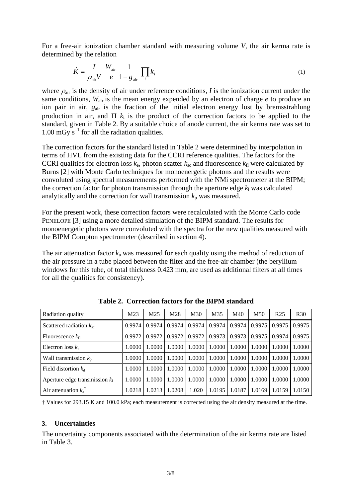For a free-air ionization chamber standard with measuring volume *V*, the air kerma rate is determined by the relation

$$
\dot{K} = \frac{I}{\rho_{\text{air}} V} \frac{W_{\text{air}}}{e} \frac{1}{1 - g_{\text{air}}} \prod_{i} k_{i}
$$
\n(1)

where  $\rho_{\text{air}}$  is the density of air under reference conditions, *I* is the ionization current under the same conditions, *W*air is the mean energy expended by an electron of charge *e* to produce an ion pair in air,  $g_{air}$  is the fraction of the initial electron energy lost by bremsstrahlung production in air, and  $\Pi$   $k_i$  is the product of the correction factors to be applied to the standard, given in Table 2. By a suitable choice of anode current, the air kerma rate was set to 1.00 mGy  $s^{-1}$  for all the radiation qualities.

The correction factors for the standard listed in Table 2 were determined by interpolation in terms of HVL from the existing data for the CCRI reference qualities. The factors for the CCRI qualities for electron loss  $k_e$ , photon scatter  $k_{sc}$  and fluorescence  $k_{fl}$  were calculated by Burns [2] with Monte Carlo techniques for monoenergetic photons and the results were convoluted using spectral measurements performed with the NMi spectrometer at the BIPM; the correction factor for photon transmission through the aperture edge  $k_1$  was calculated analytically and the correction for wall transmission  $k_p$  was measured.

For the present work, these correction factors were recalculated with the Monte Carlo code PENELOPE [3] using a more detailed simulation of the BIPM standard. The results for monoenergetic photons were convoluted with the spectra for the new qualities measured with the BIPM Compton spectrometer (described in section 4).

The air attenuation factor  $k_a$  was measured for each quality using the method of reduction of the air pressure in a tube placed between the filter and the free-air chamber (the beryllium windows for this tube, of total thickness 0.423 mm, are used as additional filters at all times for all the qualities for consistency).

| Radiation quality                | M <sub>23</sub> | M <sub>25</sub> | M28    | M30    | M35    | M40    | M50    | R <sub>25</sub>    | <b>R30</b> |
|----------------------------------|-----------------|-----------------|--------|--------|--------|--------|--------|--------------------|------------|
| Scattered radiation $k_{sc}$     | 0.9974          | 0.9974          | 0.9974 | 0.9974 | 0.9974 | 0.9974 | 0.9975 | 0.9975             | 0.9975     |
| Fluorescence $k_{\text{fl}}$     | 0.9972          | 0.9972          | 0.9972 | 0.9972 | 0.9973 | 0.9973 | 0.9975 | 0.9974             | 0.9975     |
| Electron loss $k_e$              | 1.0000          | 1.0000          | 1.0000 | 1.0000 | 1.0000 | 1.0000 | 1.0000 | 1.0000             | 1.0000     |
| Wall transmission $k_{\rm p}$    | 1.0000          | 1.0000          | 1.0000 | 1.0000 | 1.0000 | 1.0000 | 1.0000 | 1.0000             | 1.0000     |
| Field distortion $k_d$           | 1.0000          | 1.0000          | 1.0000 | 1.0000 | 1.0000 | 1.0000 | 1.0000 | 1.0000             | 1.0000     |
| Aperture edge transmission $k_1$ | 1.0000          | 1.0000          | 1.0000 | 1.0000 | 1.0000 | 1.0000 | 1.0000 | 1.0000             | 1.0000     |
| Air attenuation $k_a^{\dagger}$  | 1.0218          | 1.0213          | 1.0208 | 1.020  | 1.0195 | 1.0187 | 1.0169 | $\parallel$ 1.0159 | 1.0150     |

**Table 2. Correction factors for the BIPM standard** 

† Values for 293.15 K and 100.0 kPa; each measurement is corrected using the air density measured at the time.

### **3. Uncertainties**

The uncertainty components associated with the determination of the air kerma rate are listed in Table 3.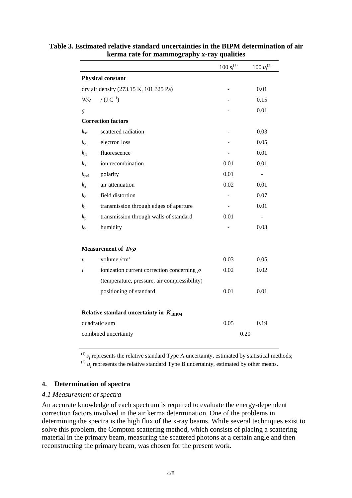|                      |                                                    | 100 $s_i^{(1)}$ | $100\;{u_i}^{(2)}$       |
|----------------------|----------------------------------------------------|-----------------|--------------------------|
|                      | Physical constant                                  |                 |                          |
|                      | dry air density (273.15 K, 101 325 Pa)             |                 | 0.01                     |
| W/e                  | / $(J C^{-1})$                                     |                 | 0.15                     |
| g                    |                                                    |                 | 0.01                     |
|                      | <b>Correction factors</b>                          |                 |                          |
| $k_{\rm sc}$         | scattered radiation                                |                 | 0.03                     |
| $k_{\rm e}$          | electron loss                                      |                 | 0.05                     |
| $k_{\rm fl}$         | fluorescence                                       |                 | 0.01                     |
| $k_{\rm s}$          | ion recombination                                  | 0.01            | 0.01                     |
| $k_{\rm pol}$        | polarity                                           | 0.01            | $\overline{\phantom{a}}$ |
| $k_{\rm a}$          | air attenuation                                    | 0.02            | 0.01                     |
| $k_{\rm d}$          | field distortion                                   |                 | 0.07                     |
| $k_1$                | transmission through edges of aperture             |                 | 0.01                     |
| $k_{p}$              | transmission through walls of standard             | 0.01            | $\blacksquare$           |
| $k_{\rm h}$          | humidity                                           |                 | 0.03                     |
|                      | Measurement of $I/\nu\rho$                         |                 |                          |
| $\mathcal{V}$        | volume $/cm3$                                      | 0.03            | 0.05                     |
| I                    | ionization current correction concerning $\rho$    | 0.02            | 0.02                     |
|                      | (temperature, pressure, air compressibility)       |                 |                          |
|                      | positioning of standard                            | 0.01            | 0.01                     |
|                      | Relative standard uncertainty in $K_{\text{BIPM}}$ |                 |                          |
|                      | quadratic sum                                      | 0.05            | 0.19                     |
| combined uncertainty |                                                    |                 | 0.20                     |

# **Table 3. Estimated relative standard uncertainties in the BIPM determination of air kerma rate for mammography x-ray qualities**

 $^{(1)}$   $s_i$  represents the relative standard Type A uncertainty, estimated by statistical methods;  $\mu_i$  is *u*<sub>i</sub> represents the relative standard Type B uncertainty, estimated by other means.

# **4. Determination of spectra**

### *4.1 Measurement of spectra*

An accurate knowledge of each spectrum is required to evaluate the energy-dependent correction factors involved in the air kerma determination. One of the problems in determining the spectra is the high flux of the x-ray beams. While several techniques exist to solve this problem, the Compton scattering method, which consists of placing a scattering material in the primary beam, measuring the scattered photons at a certain angle and then reconstructing the primary beam, was chosen for the present work.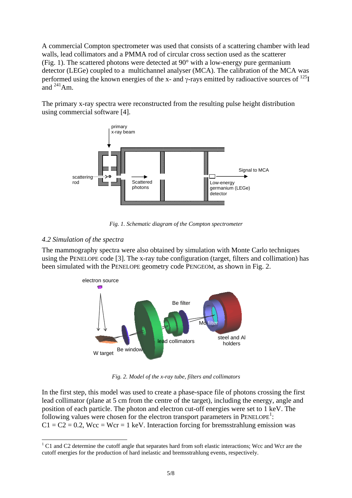A commercial Compton spectrometer was used that consists of a scattering chamber with lead walls, lead collimators and a PMMA rod of circular cross section used as the scatterer (Fig. 1). The scattered photons were detected at 90° with a low-energy pure germanium detector (LEGe) coupled to a multichannel analyser (MCA). The calibration of the MCA was performed using the known energies of the x- and  $\gamma$ -rays emitted by radioactive sources of  $^{125}I$ and  $^{241}$ Am.

The primary x-ray spectra were reconstructed from the resulting pulse height distribution using commercial software [4].



*Fig. 1. Schematic diagram of the Compton spectrometer* 

# *4.2 Simulation of the spectra*

The mammography spectra were also obtained by simulation with Monte Carlo techniques using the PENELOPE code [3]. The x-ray tube configuration (target, filters and collimation) has been simulated with the PENELOPE geometry code PENGEOM, as shown in Fig. 2.



*Fig. 2. Model of the x-ray tube, filters and collimators* 

In the first step, this model was used to create a phase-space file of photons crossing the first lead collimator (plane at 5 cm from the centre of the target), including the energy, angle and position of each particle. The photon and electron cut-off energies were set to 1 keV. The following values were chosen for the electron transport parameters in  $PENELOPE<sup>1</sup>$  $PENELOPE<sup>1</sup>$  $PENELOPE<sup>1</sup>$ :  $C1 = C2 = 0.2$ , Wcc = Wcr = 1 keV. Interaction forcing for bremsstrahlung emission was

<span id="page-4-0"></span> $\frac{1}{1}$ <sup>1</sup> C1 and C2 determine the cutoff angle that separates hard from soft elastic interactions; Wcc and Wcr are the cutoff energies for the production of hard inelastic and bremsstrahlung events, respectively.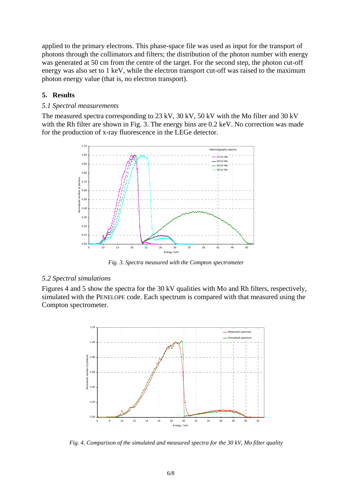applied to the primary electrons. This phase-space file was used as input for the transport of photons through the collimators and filters; the distribution of the photon number with energy was generated at 50 cm from the centre of the target. For the second step, the photon cut-off energy was also set to 1 keV, while the electron transport cut-off was raised to the maximum photon energy value (that is, no electron transport).

#### **5. Results**

#### *5.1 Spectral measurements*

The measured spectra corresponding to 23 kV, 30 kV, 50 kV with the Mo filter and 30 kV with the Rh filter are shown in Fig. 3. The energy bins are 0.2 keV. No correction was made for the production of x-ray fluorescence in the LEGe detector.



*Fig. 3. Spectra measured with the Compton spectrometer*

#### *5.2 Spectral simulations*

Figures 4 and 5 show the spectra for the 30 kV qualities with Mo and Rh filters, respectively, simulated with the PENELOPE code. Each spectrum is compared with that measured using the Compton spectrometer.



*Fig. 4. Comparison of the simulated and measured spectra for the 30 kV, Mo filter quality*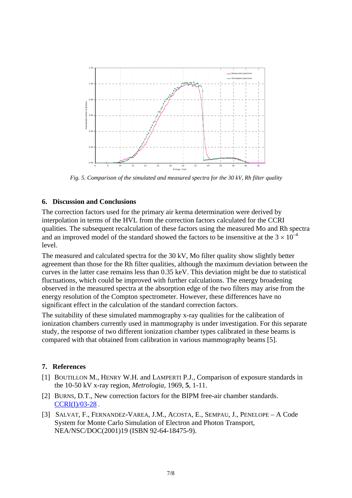

*Fig. 5. Comparison of the simulated and measured spectra for the 30 kV, Rh filter quality*

#### **6. Discussion and Conclusions**

The correction factors used for the primary air kerma determination were derived by interpolation in terms of the HVL from the correction factors calculated for the CCRI qualities. The subsequent recalculation of these factors using the measured Mo and Rh spectra and an improved model of the standard showed the factors to be insensitive at the  $3 \times 10^{-4}$ level.

The measured and calculated spectra for the 30 kV, Mo filter quality show slightly better agreement than those for the Rh filter qualities, although the maximum deviation between the curves in the latter case remains less than 0.35 keV. This deviation might be due to statistical fluctuations, which could be improved with further calculations. The energy broadening observed in the measured spectra at the absorption edge of the two filters may arise from the energy resolution of the Compton spectrometer. However, these differences have no significant effect in the calculation of the standard correction factors.

The suitability of these simulated mammography x-ray qualities for the calibration of ionization chambers currently used in mammography is under investigation. For this separate study, the response of two different ionization chamber types calibrated in these beams is compared with that obtained from calibration in various mammography beams [5].

#### **7. References**

- [1] BOUTILLON M., HENRY W.H. and LAMPERTI P.J., Comparison of exposure standards in the 10-50 kV x-ray region, *Metrologia*, 1969, **5**, 1-11.
- [2] BURNS, D.T., New correction factors for the BIPM free-air chamber standards. [CCRI\(I\)/03-28](https://www.bipm.org/cc/CCRI(I)/Allowed/16/CCRI(I)03-28.pdf) .
- [3] SALVAT, F., FERNANDEZ-VAREA, J.M., ACOSTA, E., SEMPAU, J., PENELOPE A Code System for Monte Carlo Simulation of Electron and Photon Transport, NEA/NSC/DOC(2001)19 (ISBN 92-64-18475-9).